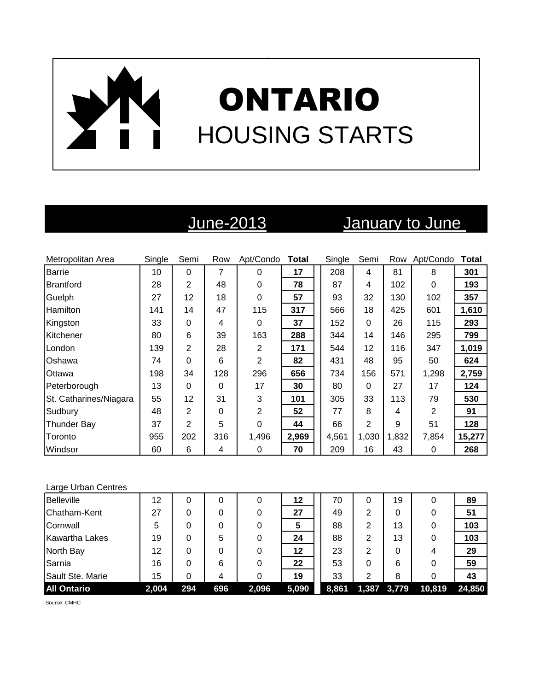# ONTARIO HOUSING STARTS

## June-2013 January to June

| Metropolitan Area      | Single | Semi           | Row | Apt/Condo | Total | Single | Semi     | Row   | Apt/Condo      | Total  |
|------------------------|--------|----------------|-----|-----------|-------|--------|----------|-------|----------------|--------|
| Barrie                 | 10     | $\Omega$       | 7   | 0         | 17    | 208    | 4        | 81    | 8              | 301    |
| Brantford              | 28     | $\overline{2}$ | 48  | 0         | 78    | 87     | 4        | 102   | 0              | 193    |
| Guelph                 | 27     | 12             | 18  | 0         | 57    | 93     | 32       | 130   | 102            | 357    |
| Hamilton               | 141    | 14             | 47  | 115       | 317   | 566    | 18       | 425   | 601            | 1,610  |
| Kingston               | 33     | 0              | 4   | 0         | 37    | 152    | $\Omega$ | 26    | 115            | 293    |
| Kitchener              | 80     | 6              | 39  | 163       | 288   | 344    | 14       | 146   | 295            | 799    |
| London                 | 139    | 2              | 28  | 2         | 171   | 544    | 12       | 116   | 347            | 1,019  |
| Oshawa                 | 74     | 0              | 6   | 2         | 82    | 431    | 48       | 95    | 50             | 624    |
| Ottawa                 | 198    | 34             | 128 | 296       | 656   | 734    | 156      | 571   | 1,298          | 2,759  |
| Peterborough           | 13     | 0              | 0   | 17        | 30    | 80     | $\Omega$ | 27    | 17             | 124    |
| St. Catharines/Niagara | 55     | 12             | 31  | 3         | 101   | 305    | 33       | 113   | 79             | 530    |
| Sudbury                | 48     | 2              | 0   | 2         | 52    | 77     | 8        | 4     | $\overline{2}$ | 91     |
| <b>Thunder Bay</b>     | 37     | $\overline{2}$ | 5   | 0         | 44    | 66     | 2        | 9     | 51             | 128    |
| Toronto                | 955    | 202            | 316 | 1,496     | 2,969 | 4,561  | 1,030    | 1,832 | 7,854          | 15,277 |
| Windsor                | 60     | 6              | 4   | 0         | 70    | 209    | 16       | 43    | 0              | 268    |

### Large Urban Centres

| <b>Belleville</b>     | 12    |     | 0   | 0     | 12    | 70    | 0 | 19          | 0      | 89     |
|-----------------------|-------|-----|-----|-------|-------|-------|---|-------------|--------|--------|
| Chatham-Kent          | 27    |     | 0   |       | 27    | 49    | 2 | 0           | 0      | 51     |
| Cornwall              | 5     |     | 0   |       | 5     | 88    | 2 | 13          | 0      | 103    |
| <b>Kawartha Lakes</b> | 19    | 0   | 5   |       | 24    | 88    | 2 | 13          | 0      | 103    |
| North Bay             | 12    | 0   | 0   |       | 12    | 23    | 2 | 0           | 4      | 29     |
| Sarnia                | 16    | 0   | 6   |       | 22    | 53    | 0 | 6           | 0      | 59     |
| Sault Ste. Marie      | 15    |     | 4   |       | 19    | 33    | 2 | 8           | 0      | 43     |
| <b>All Ontario</b>    | 2,004 | 294 | 696 | 2,096 | 5,090 | 8,861 |   | 1,387 3,779 | 10,819 | 24,850 |

Source: CMHC